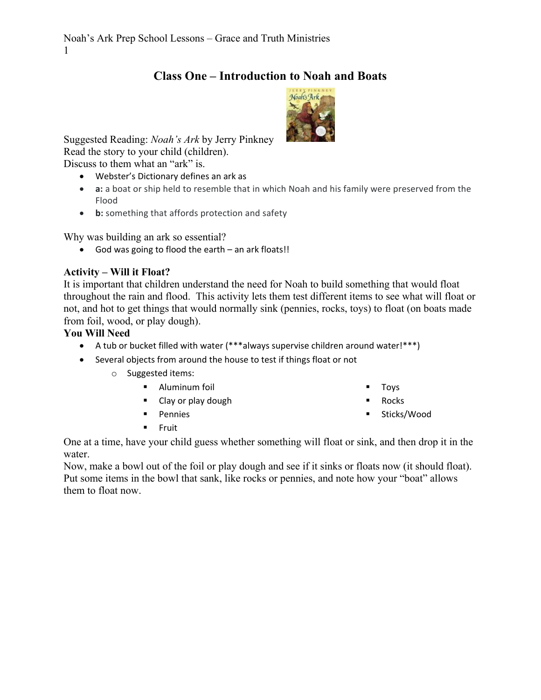# **Class One – Introduction to Noah and Boats**



Suggested Reading: *Noah's Ark* by Jerry Pinkney Read the story to your child (children). Discuss to them what an "ark" is.

- Webster's Dictionary defines an ark as
- **a:** a boat or ship held to resemble that in which Noah and his family were preserved from the Flood
- **b:** something that affords protection and safety

Why was building an ark so essential?

God was going to flood the earth – an ark floats!!

## **Activity – Will it Float?**

It is important that children understand the need for Noah to build something that would float throughout the rain and flood. This activity lets them test different items to see what will float or not, and hot to get things that would normally sink (pennies, rocks, toys) to float (on boats made from foil, wood, or play dough).

## **You Will Need**

- A tub or bucket filled with water (\*\*\*always supervise children around water!\*\*\*)
- Several objects from around the house to test if things float or not
	- o Suggested items:
		- **Aluminum foil**
		- Clay or play dough
		- **Pennies**
- Toys
	- Rocks
	- Sticks/Wood

 $F = F + F$ 

One at a time, have your child guess whether something will float or sink, and then drop it in the water.

Now, make a bowl out of the foil or play dough and see if it sinks or floats now (it should float). Put some items in the bowl that sank, like rocks or pennies, and note how your "boat" allows them to float now.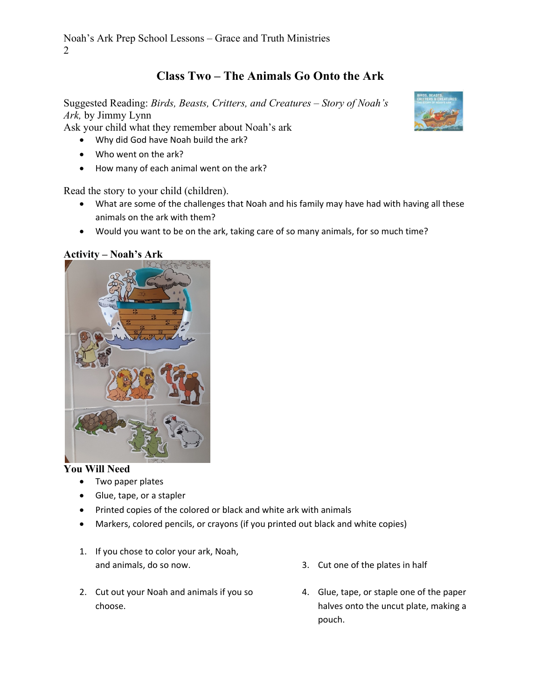# **Class Two – The Animals Go Onto the Ark**

Suggested Reading: *Birds, Beasts, Critters, and Creatures – Story of Noah's Ark,* by Jimmy Lynn

Ask your child what they remember about Noah's ark

- Why did God have Noah build the ark?
- Who went on the ark?
- How many of each animal went on the ark?

Read the story to your child (children).

- What are some of the challenges that Noah and his family may have had with having all these animals on the ark with them?
- Would you want to be on the ark, taking care of so many animals, for so much time?

**Activity – Noah's Ark** 



#### **You Will Need**

- Two paper plates
- Glue, tape, or a stapler
- Printed copies of the colored or black and white ark with animals
- Markers, colored pencils, or crayons (if you printed out black and white copies)
- 1. If you chose to color your ark, Noah, and animals, do so now.
- 2. Cut out your Noah and animals if you so choose.
- 3. Cut one of the plates in half
- 4. Glue, tape, or staple one of the paper halves onto the uncut plate, making a pouch.

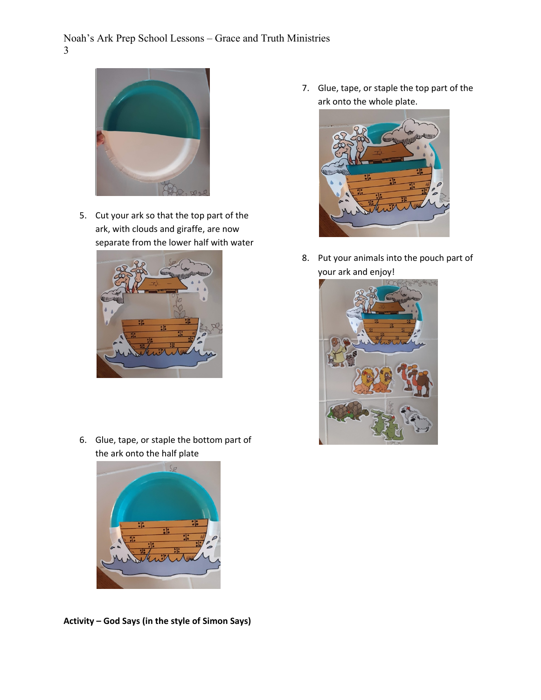

5. Cut your ark so that the top part of the ark, with clouds and giraffe, are now separate from the lower half with water



6. Glue, tape, or staple the bottom part of the ark onto the half plate



**Activity – God Says (in the style of Simon Says)** 

7. Glue, tape, or staple the top part of the ark onto the whole plate.



8. Put your animals into the pouch part of your ark and enjoy!

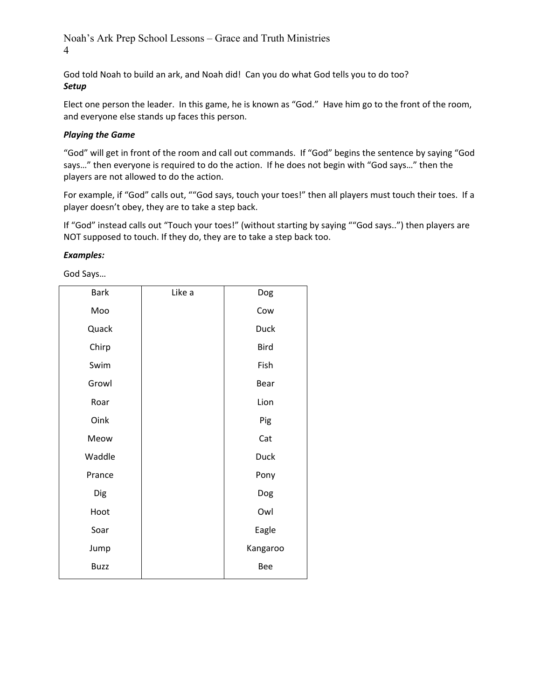Noah's Ark Prep School Lessons – Grace and Truth Ministries 4

God told Noah to build an ark, and Noah did! Can you do what God tells you to do too? *Setup*

Elect one person the leader. In this game, he is known as "God." Have him go to the front of the room, and everyone else stands up faces this person.

#### *Playing the Game*

"God" will get in front of the room and call out commands. If "God" begins the sentence by saying "God says…" then everyone is required to do the action. If he does not begin with "God says…" then the players are not allowed to do the action.

For example, if "God" calls out, ""God says, touch your toes!" then all players must touch their toes. If a player doesn't obey, they are to take a step back.

If "God" instead calls out "Touch your toes!" (without starting by saying ""God says..") then players are NOT supposed to touch. If they do, they are to take a step back too.

#### *Examples:*

God Says…

| <b>Bark</b> | Like a | Dog         |
|-------------|--------|-------------|
| Moo         |        | Cow         |
| Quack       |        | <b>Duck</b> |
| Chirp       |        | <b>Bird</b> |
| Swim        |        | Fish        |
| Growl       |        | Bear        |
| Roar        |        | Lion        |
| Oink        |        | Pig         |
| Meow        |        | Cat         |
| Waddle      |        | <b>Duck</b> |
| Prance      |        | Pony        |
| Dig         |        | Dog         |
| Hoot        |        | Owl         |
| Soar        |        | Eagle       |
| Jump        |        | Kangaroo    |
| <b>Buzz</b> |        | Bee         |
|             |        |             |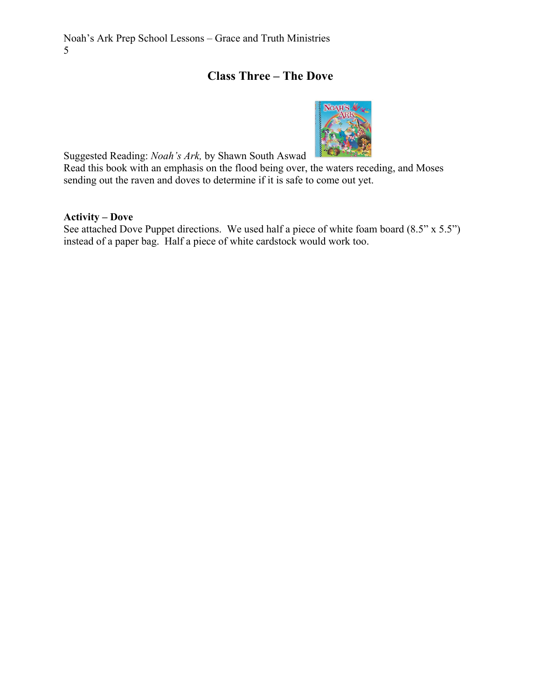## **Class Three – The Dove**



Suggested Reading: *Noah's Ark,* by Shawn South Aswad

Read this book with an emphasis on the flood being over, the waters receding, and Moses sending out the raven and doves to determine if it is safe to come out yet.

### **Activity – Dove**

See attached Dove Puppet directions. We used half a piece of white foam board (8.5" x 5.5") instead of a paper bag. Half a piece of white cardstock would work too.